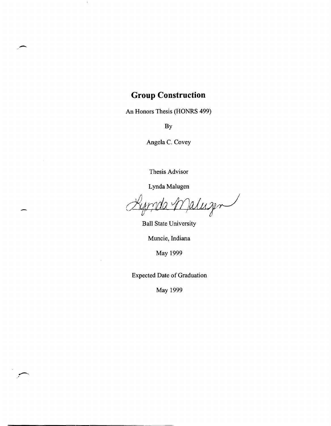## **Group Construction**

-

 $\pm$ 

An Honors Thesis (HONRS 499)

By

Angela C. Covey

Thesis Advisor

Lynda Malugen

aluzen

Ball State University

Muncie, Indiana

May 1999

Expected Date of Graduation

May 1999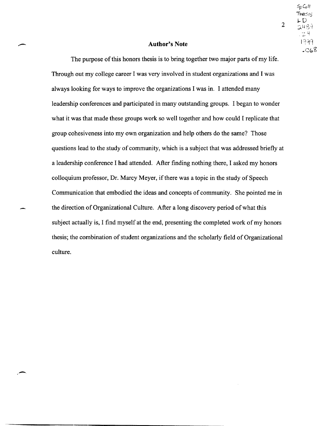2

### **Author's Note**

The purpose of this honors thesis is to bring together two major parts of my life. Through out my college career I was very involved in student organizations and I was always looking for ways to improve the organizations I was in. I attended many leadership conferences and participated in many outstanding groups. I began to wonder what it was that made these groups work so well together and how could I replicate that group cohesiveness into my own organization and help others do the same? Those questions lead to the study of community, which is a subject that was addressed briefly at a leadership conference I had attended. After finding nothing there, I asked my honors colloquium professor, Dr. Marcy Meyer, if there was a topic in the study of Speech Communication that embodied the ideas and concepts of community. She pointed me in the direction of Organizational Culture. After a long discovery period of what this subject actually is, I find myself at the end, presenting the completed work of my honors thesis; the combination of student organizations and the scholarly field of Organizational culture.

-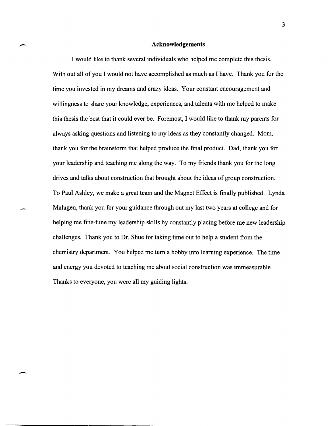### **Acknowledgements**

I would like to thank several individuals who helped me complete this thesis. With out all of you I would not have accomplished as much as I have. Thank you for the time you invested in my dreams and crazy ideas. Your constant encouragement and willingness to share your knowledge, experiences, and talents with me helped to make this thesis the best that it could ever be. Foremost, I would like to thank my parents for always asking questions and listening to my ideas as they constantly changed. Mom, thank you for the brainstorm that helped produce the final product. Dad, thank you for your leadership and teaching me along the way. To my friends thank you for the long drives and talks about construction that brought about the ideas of group construction. To Paul Ashley, we make a great team and the Magnet Effect is finally published. Lynda Malugen, thank you for your guidance through out my last two years at college and for helping me fine-tune my leadership skills by constantly placing before me new leadership challenges. Thank you to Dr. Shue for taking time out to help a student from the chemistry department. You helped me turn a hobby into learning experience. The time and energy you devoted to teaching me about social construction was immeasurable. Thanks to everyone, you were all my guiding lights.

-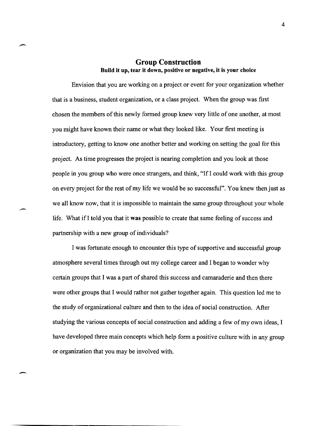### Group Construction Build it up, tear it down, positive or negative, it is your choice

-

-

Envision that you are working on a project or event for your organization whether that is a business, student organization, or a class project. When the group was first chosen the members of this newly formed group knew very little of one another, at most you might have known their name or what they looked like. Your first meeting is introductory, getting to know one another better and working on setting the goal for this project. As time progresses the project is nearing completion and you look at those people in you group who were once strangers, and think, "If I could work with this group on every project for the rest of my life we would be so successful". You knew then just as we all know now, that it is impossible to maintain the same group throughout your whole life. What if I told you that it was possible to create that same feeling of success and partnership with a new group of individuals?

I was fortunate enough to encounter this type of supportive and successful group atmosphere several times through out my college career and I began to wonder why certain groups that I was a part of shared this success and camaraderie and then there were other groups that I would rather not gather together again. This question led me to the study of organizational culture and then to the idea of social construction. After studying the various concepts of social construction and adding a few of my own ideas, I have developed three main concepts which help form a positive culture with in any group or organization that you may be involved with.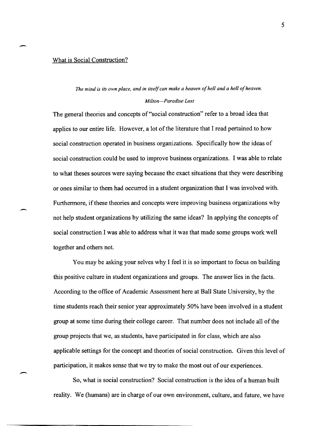### What is Social Construction?

-

### *The mind is its own place, and in itself can make a heaven of hell and a hell of heaven.*

#### *Milton-Paradise Lost*

The general theories and concepts of "social construction" refer to a broad idea that applies to our entire life. However, a lot of the literature that I read pertained to how social construction operated in business organizations. Specifically how the ideas of social construction could be used to improve business organizations. I was able to relate to what theses sources were saying because the exact situations that they were describing or ones similar to them had occurred in a student organization that I was involved with. Furthermore, if these theories and concepts were improving business organizations why not help student organizations by utilizing the same ideas? In applying the concepts of social construction I was able to address what it was that made some groups work well together and others not.

You may be asking your selves why I feel it is so important to focus on building this positive culture in student organizations and groups. The answer lies in the facts. According to the office of Academic Assessment here at Ball State University, by the time students reach their senior year approximately 50% have been involved in a student group at some time during their college career. That number does not include all of the group projects that we, as students, have participated in for class, which are also applicable settings for the concept and theories of social construction. Given this level of participation, it makes sense that we try to make the most out of our experiences.

So, what is social construction? Social construction is the idea of a human built reality. We (humans) are in charge of our own environment, culture, and future, we have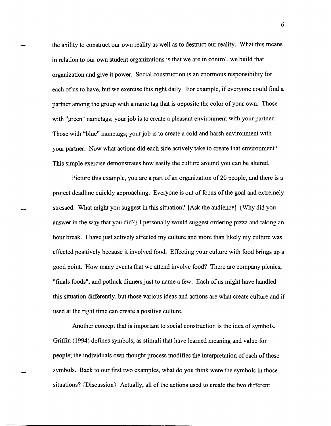the ability to construct our own reality as well as to destruct our reality. What this means in relation to our own student organizations is that we are in control, we build that organization and give it power. Social construction is an enormous responsibility for each of us to have, but we exercise this right daily. For example, if everyone could find a partner among the group with a name tag that is opposite the color of your own. Those with "green" nametags; your job is to create a pleasant environment with your partner. Those with "blue" nametags; your job is to create a cold and harsh environment with your partner. Now what actions did each side actively take to create that environment? This simple exercise demonstrates how easily the culture around you can be altered.

Picture this example, you are a part of an organization of 20 people, and there is a project deadline quickly approaching. Everyone is out of focus of the goal and extremely stressed. What might you suggest in this situation? {Ask the audience} {Why did you answer in the way that you did?} I personally would suggest ordering pizza and taking an hour break. I have just actively affected my culture and more than likely my culture was effected positively because it involved food. Effecting your culture with food brings up a good point. How many events that we attend involve food? There are company picnics, "finals foods", and potluck dinners just to name a few. Each of us might have handled this situation differently, but those various ideas and actions are what create culture and if used at the right time can create a positive culture.

Another concept that is important to social construction is the idea of symbols. Griffin (1994) defines symbols, as stimuli that have learned meaning and value for people; the individuals own thought process modifies the interpretation of each of these symbols. Back to our first two examples, what do you think were the symbols in those situations? {Discussion} Actually, all of the actions used to create the two different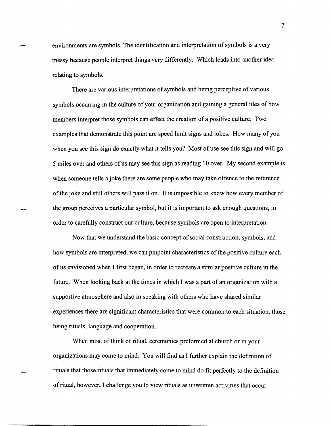environments are symbols. The identification and interpretation of symbols is a very messy because people interpret things very differently. Which leads into another idea relating to symbols.

There are various interpretations of symbols and being perceptive of various symbols occurring in the culture of your organization and gaining a general idea of how members interpret those symbols can effect the creation of a positive culture. Two examples that demonstrate this point are speed limit signs andjokes. How many of you when you see this sign do exactly what it tells you? Most of use see this sign and will go 5 miles over and others of us may see this sign as reading 10 over. My second example is when someone tells a joke there are some people who may take offence to the reference of the joke and still others will pass it on. It is impossible to know how every member of the group perceives a particular symbol, but it is important to ask enough questions, in order to carefully construct our culture, because symbols are open to interpretation.

Now that we understand the basic concept of social construction, symbols, and how symbols are interpreted, we can pinpoint characteristics of the positive culture each of us envisioned when I first began, in order to recreate a similar positive culture in the future. When looking back at the times in which I was a part of an organization with a supportive atmosphere and also in speaking with others who have shared similar experiences there are significant characteristics that were common to each situation, those being rituals, language and cooperation.

When most of think of ritual, ceremonies preformed at church or in your organizations may come to mind. You will find as I further explain the definition of rituals that those rituals that immediately come to mind do fit perfectly to the definition of ritual, however, I challenge you to view rituals as unwritten activities that occur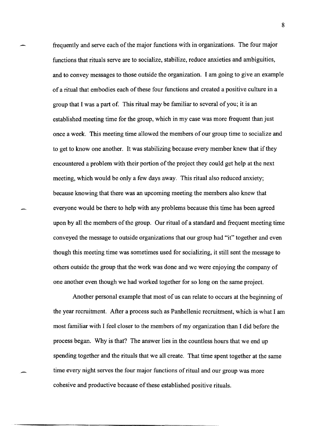frequently and serve each of the major functions with in organizations. The four major functions that rituals serve are to socialize, stabilize, reduce anxieties and ambiguities, and to convey messages to those outside the organization. I am going to give an example of a ritual that embodies each of these four functions and created a positive culture in a group that I was a part of. This ritual may be familiar to several of you; it is an established meeting time for the group, which in my case was more frequent than just once a week. This meeting time allowed the members of our group time to socialize and to get to know one another. It was stabilizing because every member knew that if they encountered a problem with their portion of the project they could get help at the next meeting, which would be only a few days away. This ritual also reduced anxiety; because knowing that there was an upcoming meeting the members also knew that everyone would be there to help with any problems because this time has been agreed upon by all the members of the group. Our ritual of a standard and frequent meeting time conveyed the message to outside organizations that our group had "it" together and even though this meeting time was sometimes used for socializing, it still sent the message to others outside the group that the work was done and we were enjoying the company of one another even though we had worked together for so long on the same project.

Another personal example that most of us can relate to occurs at the beginning of the year recruitment. After a process such as Panhellenic recruitment, which is what I am most familiar with I feel closer to the members of my organization than I did before the process began. Why is that? The answer lies in the countless hours that we end up spending together and the rituals that we all create. That time spent together at the same time every night serves the four major functions of ritual and our group was more cohesive and productive because of these established positive rituals.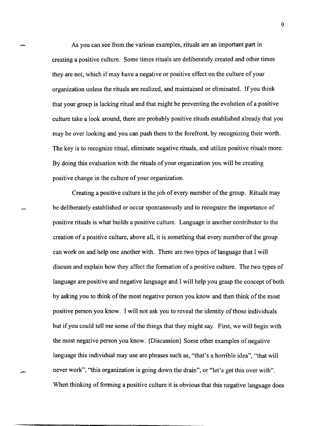As you can see from the various examples, rituals are an important part in creating a positive culture. Some times rituals are deliberately created and other times they are not, which if may have a negative or positive effect on the culture of your organization unless the rituals are realized, and maintained or eliminated. If you think that your group is lacking ritual and that might be preventing the evolution of a positive culture take a look around, there are probably positive rituals established already that you may be over looking and you can push them to the forefront, by recognizing their worth. The key is to recognize ritual, eliminate negative rituals, and utilize positive rituals more. By doing this evaluation with the rituals of your organization you will be creating positive change in the culture of your organization.

Creating a positive culture is the job of every member of the group. Rituals may be deliberately established or occur spontaneously and to recognize the importance of positive rituals is what builds a positive culture. Language is another contributor to the creation of a positive culture, above all, it is something that every member of the group can work on and help one another with. There are two types of language that I will discuss and explain how they affect the formation of a positive culture. The two types of language are positive and negative language and I will help you grasp the concept of both by asking you to think of the most negative person you know and then think of the most positive person you know. I will not ask you to reveal the identity of those individuals but if you could tell me some of the things that they might say. First, we will begin with the most negative person you know. {Discussion} Some other examples of negative language this individual may use are phrases such as, "that's a horrible idea", "that will never work", "this organization is going down the drain", or "let's get this over with". When thinking of forming a positive culture it is obvious that this negative language does

. -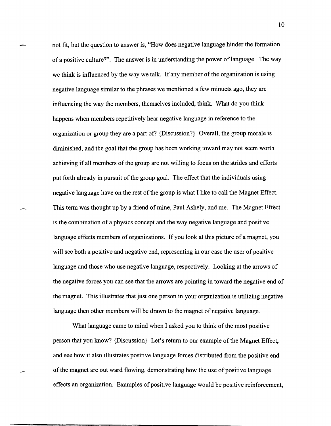not fit, but the question to answer is, "How does negative language hinder the fonnation of a positive culture?". The answer is in understanding the power of language. The way we think is influenced by the way we talk. If any member of the organization is using negative language similar to the phrases we mentioned a few minuets ago, they are influencing the way the members, themselves included, think. What do you think happens when members repetitively hear negative language in reference to the organization or group they are a part of? {Discussion?} Overall, the group morale is diminished, and the goal that the group has been working toward may not seem worth achieving if all members of the group are not willing to focus on the strides and efforts put forth already in pursuit of the group goal. The effect that the individuals using negative language have on the rest of the group is what I like to call the Magnet Effect. This tenn was thought up by a friend of mine, Paul Ashely, and me. The Magnet Effect is the combination of a physics concept and the way negative language and positive language effects members of organizations. If you look at this picture of a magnet, you will see both a positive and negative end, representing in our case the user of positive language and those who use negative language, respectively. Looking at the arrows of the negative forces you can see that the arrows are pointing in toward the negative end of the magnet. This illustrates that just one person in your organization is utilizing negative language then other members will be drawn to the magnet of negative language.

What language came to mind when I asked you to think of the most positive person that you know? {Discussion} Let's return to our example of the Magnet Effect, and see how it also illustrates positive language forces distributed from the positive end of the magnet are out ward flowing, demonstrating how the use of positive language effects an organization. Examples of positive language would be positive reinforcement,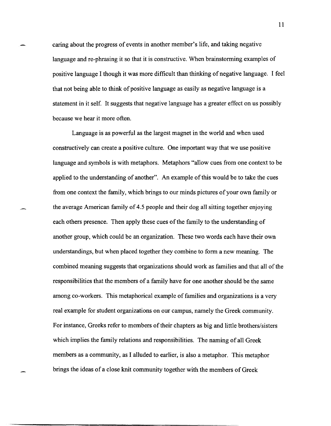caring about the progress of events in another member's life, and taking negative language and re-phrasing it so that it is constructive. When brainstorming examples of positive language I though it was more difficult than thinking of negative language. I feel that not being able to think of positive language as easily as negative language is a statement in it self. It suggests that negative language has a greater effect on us possibly because we hear it more often.

Language is as powerful as the largest magnet in the world and when used constructively can create a positive culture. One important way that we use positive language and symbols is with metaphors. Metaphors "allow cues from one context to be applied to the understanding of another". An example of this would be to take the cues from one context the family, which brings to our minds pictures of your own family or the average American family of 4.5 people and their dog all sitting together enjoying each others presence. Then apply these cues of the family to the understanding of another group, which could be an organization. These two words each have their own understandings, but when placed together they combine to form a new meaning. The combined meaning suggests that organizations should work as families and that all of the responsibilities that the members of a family have for one another should be the same among co-workers. This metaphorical example of families and organizations is a very real example for student organizations on our campus, namely the Greek community. For instance, Greeks refer to members of their chapters as big and little brothers/sisters which implies the family relations and responsibilities. The naming of all Greek members as a community, as I alluded to earlier, is also a metaphor. This metaphor brings the ideas of a close knit community together with the members of Greek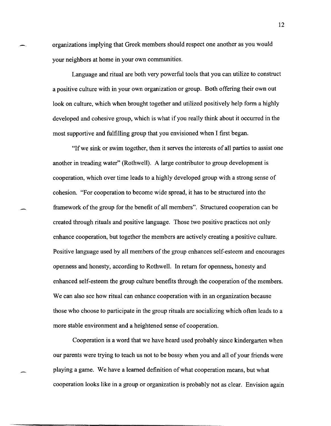organizations implying that Greek members should respect one another as you would your neighbors at home in your own communities.

Language and ritual are both very powerful tools that you can utilize to construct a positive culture with in your own organization or group. Both offering their own out look on culture, which when brought together and utilized positively help form a highly developed and cohesive group, which is what if you really think about it occurred in the most supportive and fulfilling group that you envisioned when I first began.

"If we sink or swim together, then it serves the interests of all parties to assist one another in treading water" (Rothwell). A large contributor to group development is cooperation, which over time leads to a highly developed group with a strong sense of cohesion. "For cooperation to become wide spread, it has to be structured into the framework of the group for the benefit of all members". Structured cooperation can be created through rituals and positive language. Those two positive practices not only enhance cooperation, but together the members are actively creating a positive culture. Positive language used by all members of the group enhances self-esteem and encourages openness and honesty, according to Rothwell. In return for openness, honesty and enhanced self-esteem the group culture benefits through the cooperation of the members. We can also see how ritual can enhance cooperation with in an organization because those who choose to participate in the group rituals are socializing which often leads to a more stable environment and a heightened sense of cooperation.

Cooperation is a word that we have heard used probably since kindergarten when our parents were trying to teach us not to be bossy when you and all of your friends were playing a game. We have a learned definition of what cooperation means, but what cooperation looks like in a group or organization is probably not as clear. Envision again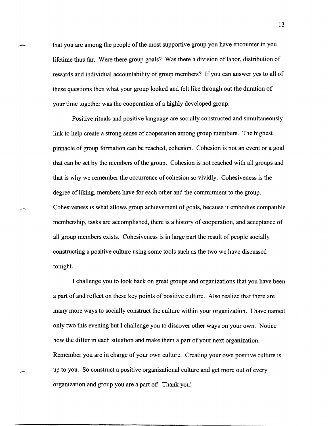that you are among the people of the most supportive group you have encounter in you lifetime thus far. Were there group goals? Was there a division of labor, distribution of rewards and individual accountability of group members? If you can answer yes to all of these questions then what your group looked and felt like through out the duration of your time together was the cooperation of a highly developed group.

Positive rituals and positive language are socially constructed and simultaneously link to help create a strong sense of cooperation among group members. The highest pinnacle of group formation can be reached, cohesion. Cohesion is not an event or a goal that can be set by the members of the group. Cohesion is not reached with all groups and that is why we remember the occurrence of cohesion so vividly. Cohesiveness is the degree of liking, members have for each other and the commitment to the group. Cohesiveness is what allows group achievement of goals, because it embodies compatible membership, tasks are accomplished, there is a history of cooperation, and acceptance of all group members exists. Cohesiveness is in large part the result of people socially constructing a positive culture using some tools such as the two we have discussed tonight.

I challenge you to look back on great groups and organizations that you have been a part of and reflect on these key points of positive culture. Also realize that there are many more ways to socially construct the culture within your organization. I have named only two this evening but I challenge you to discover other ways on your own. Notice how the differ in each situation and make them a part of your next organization. Remember you are in charge of your own culture. Creating your own positive culture is up to you. So construct a positive organizational culture and get more out of every organization and group you are a part of! Thank you!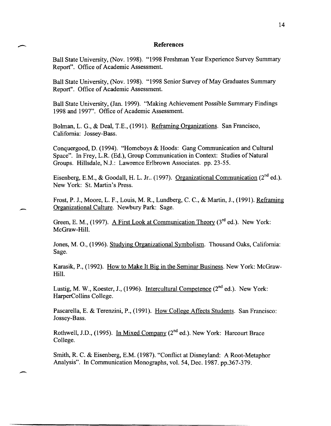### **References**

 $\overline{\phantom{a}}$ 

-.

Ball State University, (Nov. 1998). "1998 Freshman Year Experience Survey Summary Report". Office of Academic Assessment.

Ball State University, (Nov. 1998). "1998 Senior Survey of May Graduates Summary Report". Office of Academic Assessment.

Ball State University, (Jan. 1999). "Making Achievement Possible Summary Findings 1998 and 1997". Office of Academic Assessment.

Bolman, L. G., & Deal, T.E., (1991). Reframing Organizations. San Francisco, California: Jossey-Bass.

Conquergood, D. (1994). "Homeboys & Hoods: Gang Communication and Cultural Space". In Frey, L.R (Ed.), Group Communication in Context: Studies of Natural Groups. Hillsdale, N.J.: Lawrence Erlbrown Associates. pp.23-55.

Eisenberg, E.M., & Goodall, H. L. Jr.. (1997). Organizational Communication ( $2^{nd}$  ed.). New York: St. Martin's Press.

Frost, P. J., Moore, L. F., Louis, M. R, Lundberg, C. c., & Martin, J., (1991). Reframing Organizational Culture. Newbury Park: Sage.

Green, E. M., (1997). A First Look at Communication Theory ( $3<sup>rd</sup>$  ed.). New York: McGraw-Hill.

Jones, M. 0., (1996). Studying Organizational Symbolism. Thousand Oaks, California: Sage.

Karasik, P., (1992). How to Make It Big in the Seminar Business. New York: McGraw-Hill.

Lustig, M. W., Koester, J., (1996). Intercultural Competence  $(2^{nd}$  ed.). New York: HarperCollins College.

Pascarella, E. & Terenzini, P., (1991). How College Affects Students. San Francisco: Jossey-Bass.

Rothwell, J.D., (1995). In Mixed Company  $(2^{nd}$  ed.). New York: Harcourt Brace College.

Smith, R. C. & Eisenberg, E.M. (1987). "Conflict at Disneyland: A Root-Metaphor Analysis". In Communication Monographs, vol. 54, Dec. 1987. pp.367-379.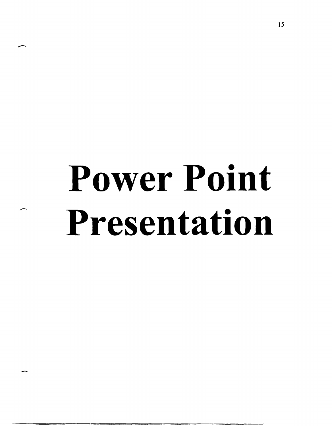# **Power Point Presentation**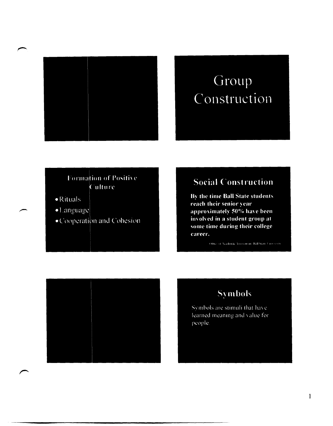

# Group Construction

### Formation of Positive Culture

- $\bullet$  Rituals
- · Language
- · Cooperation and Cohesion

# **Social Construction**

By the time Ball State students reach their senior year approximately 50% have been involved in a student group at some time during their college career.

Office of Academic Assessment, Ball State University





Symbols are stimuli that have learned meaning and value for people.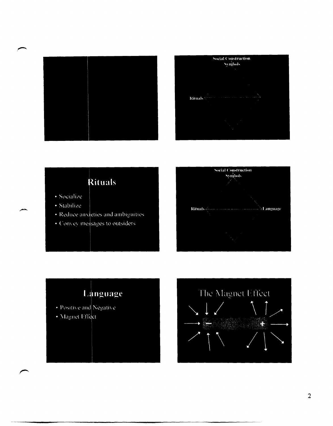



# Rituals

- · Socialize
- · Stabilize
- · Reduce anxieties and ambiguities
- · Convey messages to outsiders





• Magnet Effect

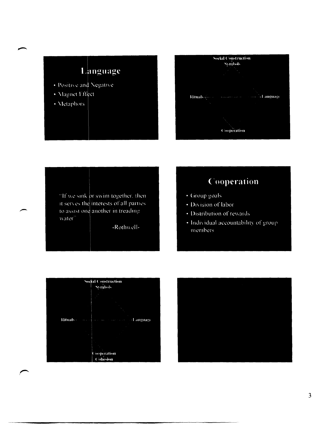# Language

- · Positive and Negative
- Magnet Effect
- · Metaphors



"If we sink or swim together, then it serves the interests of all parties to assist one another in treading water<sup>7</sup>

-Rothwell-

# Cooperation

- · Group goals
- · Division of labor
- · Distribution of rewards
- Individual accountability of group members